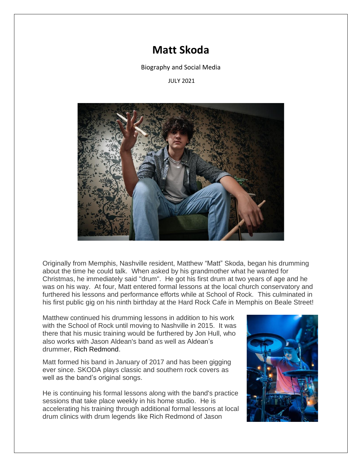## **Matt Skoda**

Biography and Social Media

## JULY 2021



Originally from Memphis, Nashville resident, Matthew "Matt" Skoda, began his drumming about the time he could talk. When asked by his grandmother what he wanted for Christmas, he immediately said "drum". He got his first drum at two years of age and he was on his way. At four, Matt entered formal lessons at the local church conservatory and furthered his lessons and performance efforts while at School of Rock. This culminated in his first public gig on his ninth birthday at the Hard Rock Cafe in Memphis on Beale Street!

Matthew continued his drumming lessons in addition to his work with the School of Rock until moving to Nashville in 2015. It was there that his music training would be furthered by Jon Hull, who also works with Jason Aldean's band as well as Aldean's drummer, Rich Redmond.

Matt formed his band in January of 2017 and has been gigging ever since. SKODA plays classic and southern rock covers as well as the band's original songs.

He is continuing his formal lessons along with the band's practice sessions that take place weekly in his home studio. He is accelerating his training through additional formal lessons at local drum clinics with drum legends like Rich Redmond of Jason